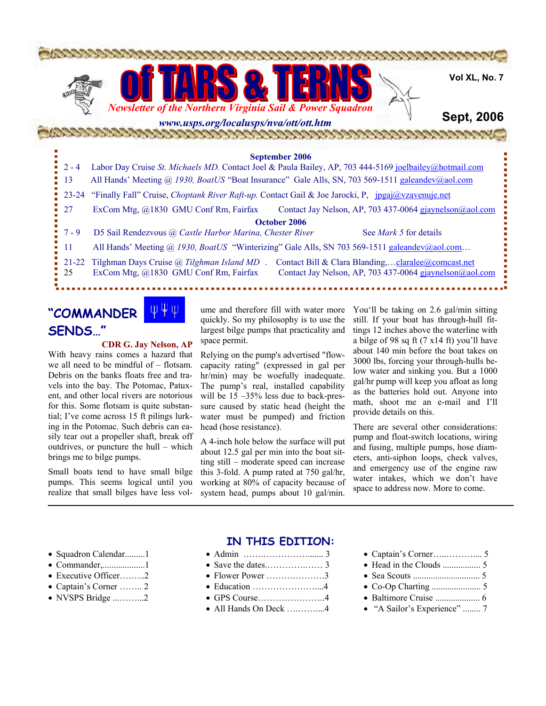

# **"COMMANDER SENDS…"**

#### **CDR G. Jay Nelson, AP**

With heavy rains comes a hazard that we all need to be mindful of – flotsam. Debris on the banks floats free and travels into the bay. The Potomac, Patuxent, and other local rivers are notorious for this. Some flotsam is quite substantial; I've come across 15 ft pilings lurking in the Potomac. Such debris can easily tear out a propeller shaft, break off outdrives, or puncture the hull – which brings me to bilge pumps.

Small boats tend to have small bilge pumps. This seems logical until you realize that small bilges have less volume and therefore fill with water more quickly. So my philosophy is to use the largest bilge pumps that practicality and space permit.

Relying on the pump's advertised "flowcapacity rating" (expressed in gal per hr/min) may be woefully inadequate. The pump's real, installed capability will be 15 –35% less due to back-pressure caused by static head (height the water must be pumped) and friction head (hose resistance).

A 4-inch hole below the surface will put about 12.5 gal per min into the boat sitting still – moderate speed can increase this 3-fold. A pump rated at 750 gal/hr, working at 80% of capacity because of system head, pumps about 10 gal/min.

You'll be taking on 2.6 gal/min sitting still. If your boat has through-hull fittings 12 inches above the waterline with a bilge of 98 sq ft (7 x14 ft) you'll have about 140 min before the boat takes on 3000 lbs, forcing your through-hulls below water and sinking you. But a 1000 gal/hr pump will keep you afloat as long as the batteries hold out. Anyone into math, shoot me an e-mail and I'll provide details on this.

There are several other considerations: pump and float-switch locations, wiring and fusing, multiple pumps, hose diameters, anti-siphon loops, check valves, and emergency use of the engine raw water intakes, which we don't have space to address now. More to come.

- Squadron Calendar.........1
- Commander,...................1
- Executive Officer…......2
- Captain's Corner …….. 2
- NVSPS Bridge .............2

**IN THIS EDITION:** 

- Admin …….……………....... 3
- Save the dates.………….…… 3
- Flower Power ……….……….3
- Education …………………....4 • GPS Course…………………..4
- All Hands On Deck ….……....4
- Captain's Corner…..……….... 5
- Head in the Clouds ................. 5
- Sea Scouts .............................. 5
- Co-Op Charting ...................... 5
- Baltimore Cruise .................... 6
- "A Sailor's Experience" ........ 7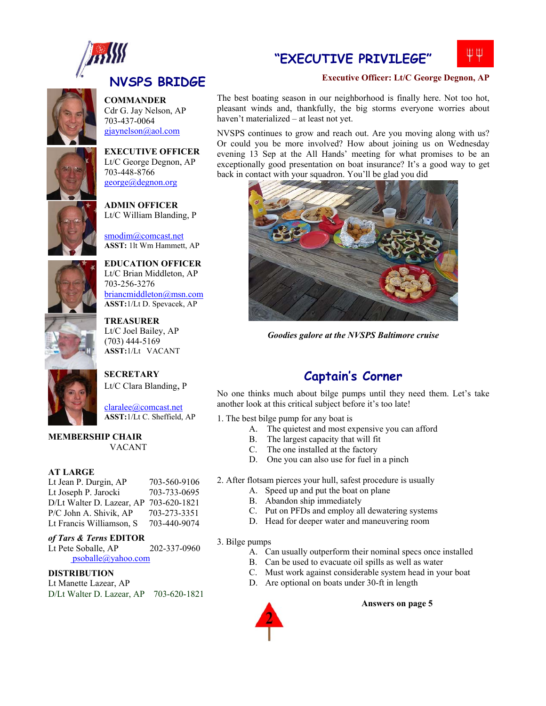

### **"EXECUTIVE PRIVILEGE"**



#### **Executive Officer: Lt/C George Degnon, AP**



703-448-8766 george@degnon.org

**EXECUTIVE OFFICER**  Lt/C George Degnon, AP

**COMMANDER**  Cdr G. Jay Nelson, AP

703-437-0064 gjaynelson@aol.com

**ADMIN OFFICER**  Lt/C William Blanding, P

smodim@comcast.net **ASST:** 1lt Wm Hammett, AP

**EDUCATION OFFICER**  Lt/C Brian Middleton, AP 703-256-3276 briancmiddleton@msn.com **ASST:**1/Lt D. Spevacek, AP

**TREASURER** Lt/C Joel Bailey, AP (703) 444-5169 **ASST:**1/Lt VACANT

**SECRETARY** 



claralee@comcast.net **ASST:**1/Lt C. Sheffield, AP

Lt/C Clara Blanding, P

**MEMBERSHIP CHAIR**  VACANT

#### **AT LARGE**

| Lt Jean P. Durgin, AP     | 703-560-9106 |
|---------------------------|--------------|
| Lt Joseph P. Jarocki      | 703-733-0695 |
| D/Lt Walter D. Lazear, AP | 703-620-1821 |
| P/C John A. Shivik, AP    | 703-273-3351 |
| Lt Francis Williamson, S  | 703-440-9074 |

#### *of Tars & Terns* **EDITOR**

Lt Pete Soballe, AP 202-337-0960 psoballe@yahoo.com

#### **DISTRIBUTION**

Lt Manette Lazear, AP D/Lt Walter D. Lazear, AP 703-620-1821 The best boating season in our neighborhood is finally here. Not too hot, pleasant winds and, thankfully, the big storms everyone worries about haven't materialized – at least not yet.

NVSPS continues to grow and reach out. Are you moving along with us? Or could you be more involved? How about joining us on Wednesday evening 13 Sep at the All Hands' meeting for what promises to be an exceptionally good presentation on boat insurance? It's a good way to get back in contact with your squadron. You'll be glad you did



*Goodies galore at the NVSPS Baltimore cruise*

### **Captain's Corner**

No one thinks much about bilge pumps until they need them. Let's take another look at this critical subject before it's too late!

- 1. The best bilge pump for any boat is
	- A. The quietest and most expensive you can afford
	- B. The largest capacity that will fit
	- C. The one installed at the factory
	- D. One you can also use for fuel in a pinch

2. After flotsam pierces your hull, safest procedure is usually

- A. Speed up and put the boat on plane
- B. Abandon ship immediately
- C. Put on PFDs and employ all dewatering systems
- D. Head for deeper water and maneuvering room
- 3. Bilge pumps
	- A. Can usually outperform their nominal specs once installed
	- B. Can be used to evacuate oil spills as well as water
	- C. Must work against considerable system head in your boat
	- D. Are optional on boats under 30-ft in length

**Answers on page 5** 

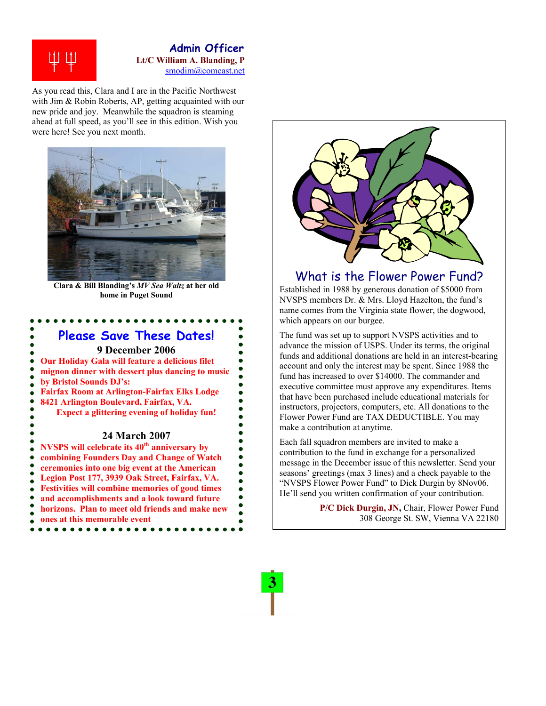

#### **Admin Officer Lt/C William A. Blanding, P**  smodim@comcast.net

As you read this, Clara and I are in the Pacific Northwest with Jim & Robin Roberts, AP, getting acquainted with our new pride and joy. Meanwhile the squadron is steaming ahead at full speed, as you'll see in this edition. Wish you were here! See you next month.



**Clara & Bill Blanding's** *MV Sea Waltz* **at her old home in Puget Sound** 

## **Please Save These Dates!**

#### **9 December 2006**

**Our Holiday Gala will feature a delicious filet mignon dinner with dessert plus dancing to music by Bristol Sounds DJ's:** 

**Fairfax Room at Arlington-Fairfax Elks Lodge 8421 Arlington Boulevard, Fairfax, VA.** 

**Expect a glittering evening of holiday fun!** 

#### **24 March 2007**

**NVSPS will celebrate its 40th anniversary by combining Founders Day and Change of Watch ceremonies into one big event at the American Legion Post 177, 3939 Oak Street, Fairfax, VA. Festivities will combine memories of good times and accomplishments and a look toward future horizons. Plan to meet old friends and make new ones at this memorable event** 



### What is the Flower Power Fund?

Established in 1988 by generous donation of \$5000 from NVSPS members Dr. & Mrs. Lloyd Hazelton, the fund's name comes from the Virginia state flower, the dogwood, which appears on our burgee.

The fund was set up to support NVSPS activities and to advance the mission of USPS. Under its terms, the original funds and additional donations are held in an interest-bearing account and only the interest may be spent. Since 1988 the fund has increased to over \$14000. The commander and executive committee must approve any expenditures. Items that have been purchased include educational materials for instructors, projectors, computers, etc. All donations to the Flower Power Fund are TAX DEDUCTIBLE. You may make a contribution at anytime.

Each fall squadron members are invited to make a contribution to the fund in exchange for a personalized message in the December issue of this newsletter. Send your seasons' greetings (max 3 lines) and a check payable to the "NVSPS Flower Power Fund" to Dick Durgin by 8Nov06. He'll send you written confirmation of your contribution.

> **P/C Dick Durgin, JN,** Chair, Flower Power Fund 308 George St. SW, Vienna VA 22180

 $\bullet$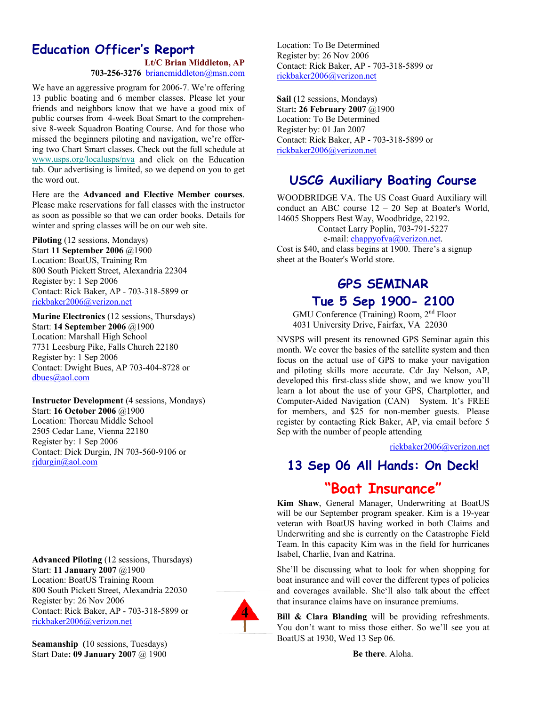## **Education Officer's Report**

**Lt/C Brian Middleton, AP** 

**703-256-3276** briancmiddleton@msn.com

We have an aggressive program for 2006-7. We're offering 13 public boating and 6 member classes. Please let your friends and neighbors know that we have a good mix of public courses from 4-week Boat Smart to the comprehensive 8-week Squadron Boating Course. And for those who missed the beginners piloting and navigation, we're offering two Chart Smart classes. Check out the full schedule at www.usps.org/localusps/nva and click on the Education tab. Our advertising is limited, so we depend on you to get the word out.

Here are the **Advanced and Elective Member courses**. Please make reservations for fall classes with the instructor as soon as possible so that we can order books. Details for winter and spring classes will be on our web site.

**Piloting** (12 sessions, Mondays) Start **11 September 2006** @1900 Location: BoatUS, Training Rm 800 South Pickett Street, Alexandria 22304 Register by: 1 Sep 2006 Contact: Rick Baker, AP - 703-318-5899 or rickbaker2006@verizon.net

**Marine Electronics** (12 sessions, Thursdays) Start: **14 September 2006** @1900 Location: Marshall High School 7731 Leesburg Pike, Falls Church 22180 Register by: 1 Sep 2006 Contact: Dwight Bues, AP 703-404-8728 or dbues@aol.com

**Instructor Development** (4 sessions, Mondays) Start: **16 October 2006** @1900 Location: Thoreau Middle School 2505 Cedar Lane, Vienna 22180 Register by: 1 Sep 2006 Contact: Dick Durgin, JN 703-560-9106 or rjdurgin@aol.com

**Advanced Piloting** (12 sessions, Thursdays) Start: **11 January 2007** @1900 Location: BoatUS Training Room 800 South Pickett Street, Alexandria 22030 Register by: 26 Nov 2006 Contact: Rick Baker, AP - 703-318-5899 or rickbaker2006@verizon.net



Location: To Be Determined Register by: 26 Nov 2006 Contact: Rick Baker, AP - 703-318-5899 or rickbaker2006@verizon.net

**Sail (**12 sessions, Mondays) Start**: 26 February 2007** @1900 Location: To Be Determined Register by: 01 Jan 2007 Contact: Rick Baker, AP - 703-318-5899 or rickbaker2006@verizon.net

## **USCG Auxiliary Boating Course**

WOODBRIDGE VA. The US Coast Guard Auxiliary will conduct an ABC course 12 – 20 Sep at Boater's World, 14605 Shoppers Best Way, Woodbridge, 22192. Contact Larry Poplin, 703-791-5227 e-mail: chappyofva@verizon.net.

Cost is \$40, and class begins at 1900. There's a signup sheet at the Boater's World store.

# **GPS SEMINAR**

### **Tue 5 Sep 1900- 2100**

GMU Conference (Training) Room, 2<sup>nd</sup> Floor 4031 University Drive, Fairfax, VA 22030

NVSPS will present its renowned GPS Seminar again this month. We cover the basics of the satellite system and then focus on the actual use of GPS to make your navigation and piloting skills more accurate. Cdr Jay Nelson, AP, developed this first-class slide show, and we know you'll learn a lot about the use of your GPS, Chartplotter, and Computer-Aided Navigation (CAN) System. It's FREE for members, and \$25 for non-member guests. Please register by contacting Rick Baker, AP, via email before 5 Sep with the number of people attending

rickbaker2006@verizon.net

## **13 Sep 06 All Hands: On Deck!**

# **"Boat Insurance"**

**Kim Shaw**, General Manager, Underwriting at BoatUS will be our September program speaker. Kim is a 19-year veteran with BoatUS having worked in both Claims and Underwriting and she is currently on the Catastrophe Field Team. In this capacity Kim was in the field for hurricanes Isabel, Charlie, Ivan and Katrina.

She'll be discussing what to look for when shopping for boat insurance and will cover the different types of policies and coverages available. She'll also talk about the effect that insurance claims have on insurance premiums.

**Bill & Clara Blanding** will be providing refreshments. You don't want to miss those either. So we'll see you at BoatUS at 1930, Wed 13 Sep 06.

**Be there**. Aloha.

**Seamanship** (10 sessions, Tuesdays) Start Date**: 09 January 2007** @ 1900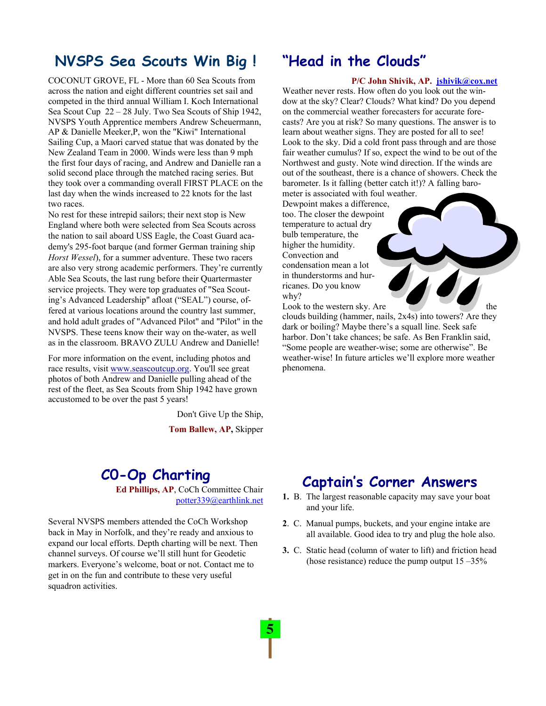# **NVSPS Sea Scouts Win Big !**

COCONUT GROVE, FL - More than 60 Sea Scouts from across the nation and eight different countries set sail and competed in the third annual William I. Koch International Sea Scout Cup 22 – 28 July. Two Sea Scouts of Ship 1942, NVSPS Youth Apprentice members Andrew Scheuermann, AP & Danielle Meeker,P, won the "Kiwi" International Sailing Cup, a Maori carved statue that was donated by the New Zealand Team in 2000. Winds were less than 9 mph the first four days of racing, and Andrew and Danielle ran a solid second place through the matched racing series. But they took over a commanding overall FIRST PLACE on the last day when the winds increased to 22 knots for the last two races.

No rest for these intrepid sailors; their next stop is New England where both were selected from Sea Scouts across the nation to sail aboard USS Eagle, the Coast Guard academy's 295-foot barque (and former German training ship *Horst Wessel*), for a summer adventure. These two racers are also very strong academic performers. They're currently Able Sea Scouts, the last rung before their Quartermaster service projects. They were top graduates of "Sea Scouting's Advanced Leadership" afloat ("SEAL") course, offered at various locations around the country last summer, and hold adult grades of "Advanced Pilot" and "Pilot" in the NVSPS. These teens know their way on the-water, as well as in the classroom. BRAVO ZULU Andrew and Danielle!

For more information on the event, including photos and race results, visit www.seascoutcup.org. You'll see great photos of both Andrew and Danielle pulling ahead of the rest of the fleet, as Sea Scouts from Ship 1942 have grown accustomed to be over the past 5 years!

> Don't Give Up the Ship, **Tom Ballew, AP,** Skipper

# **C0-Op Charting**

**Ed Phillips, AP**, CoCh Committee Chair potter339@earthlink.net

Several NVSPS members attended the CoCh Workshop back in May in Norfolk, and they're ready and anxious to expand our local efforts. Depth charting will be next. Then channel surveys. Of course we'll still hunt for Geodetic markers. Everyone's welcome, boat or not. Contact me to get in on the fun and contribute to these very useful squadron activities.

# **"Head in the Clouds"**

#### **P/C John Shivik, AP. jshivik@cox.net**

Weather never rests. How often do you look out the window at the sky? Clear? Clouds? What kind? Do you depend on the commercial weather forecasters for accurate forecasts? Are you at risk? So many questions. The answer is to learn about weather signs. They are posted for all to see! Look to the sky. Did a cold front pass through and are those fair weather cumulus? If so, expect the wind to be out of the Northwest and gusty. Note wind direction. If the winds are out of the southeast, there is a chance of showers. Check the barometer. Is it falling (better catch it!)? A falling baro-

meter is associated with foul weather. Dewpoint makes a difference, too. The closer the dewpoint temperature to actual dry bulb temperature, the higher the humidity. Convection and condensation mean a lot in thunderstorms and hurricanes. Do you know why?

Look to the western sky. Are the

clouds building (hammer, nails, 2x4s) into towers? Are they dark or boiling? Maybe there's a squall line. Seek safe harbor. Don't take chances; be safe. As Ben Franklin said, "Some people are weather-wise; some are otherwise". Be weather-wise! In future articles we'll explore more weather phenomena.

### **Captain's Corner Answers**

- **1.** B. The largest reasonable capacity may save your boat and your life.
- **2**. C. Manual pumps, buckets, and your engine intake are all available. Good idea to try and plug the hole also.
- **3.** C. Static head (column of water to lift) and friction head (hose resistance) reduce the pump output 15 –35%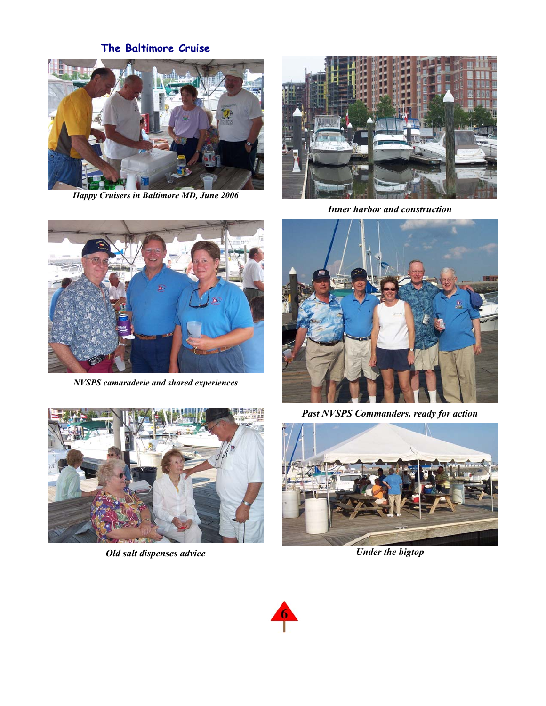**The Baltimore Cruise** 



*Happy Cruisers in Baltimore MD, June 2006*



*Inner harbor and construction* 



*NVSPS camaraderie and shared experiences* 



*Past NVSPS Commanders, ready for action* 



*Old salt dispenses advice* 



*Under the bigtop*

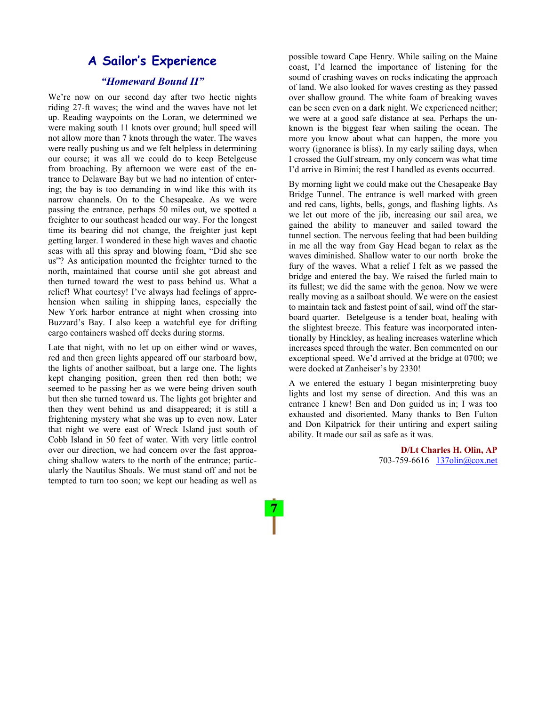#### **A Sailor's Experience**

#### *"Homeward Bound II"*

We're now on our second day after two hectic nights riding 27-ft waves; the wind and the waves have not let up. Reading waypoints on the Loran, we determined we were making south 11 knots over ground; hull speed will not allow more than 7 knots through the water. The waves were really pushing us and we felt helpless in determining our course; it was all we could do to keep Betelgeuse from broaching. By afternoon we were east of the entrance to Delaware Bay but we had no intention of entering; the bay is too demanding in wind like this with its narrow channels. On to the Chesapeake. As we were passing the entrance, perhaps 50 miles out, we spotted a freighter to our southeast headed our way. For the longest time its bearing did not change, the freighter just kept getting larger. I wondered in these high waves and chaotic seas with all this spray and blowing foam, "Did she see us"? As anticipation mounted the freighter turned to the north, maintained that course until she got abreast and then turned toward the west to pass behind us. What a relief! What courtesy! I've always had feelings of apprehension when sailing in shipping lanes, especially the New York harbor entrance at night when crossing into Buzzard's Bay. I also keep a watchful eye for drifting cargo containers washed off decks during storms.

Late that night, with no let up on either wind or waves, red and then green lights appeared off our starboard bow, the lights of another sailboat, but a large one. The lights kept changing position, green then red then both; we seemed to be passing her as we were being driven south but then she turned toward us. The lights got brighter and then they went behind us and disappeared; it is still a frightening mystery what she was up to even now. Later that night we were east of Wreck Island just south of Cobb Island in 50 feet of water. With very little control over our direction, we had concern over the fast approaching shallow waters to the north of the entrance; particularly the Nautilus Shoals. We must stand off and not be tempted to turn too soon; we kept our heading as well as

possible toward Cape Henry. While sailing on the Maine coast, I'd learned the importance of listening for the sound of crashing waves on rocks indicating the approach of land. We also looked for waves cresting as they passed over shallow ground. The white foam of breaking waves can be seen even on a dark night. We experienced neither; we were at a good safe distance at sea. Perhaps the unknown is the biggest fear when sailing the ocean. The more you know about what can happen, the more you worry (ignorance is bliss). In my early sailing days, when I crossed the Gulf stream, my only concern was what time I'd arrive in Bimini; the rest I handled as events occurred.

By morning light we could make out the Chesapeake Bay Bridge Tunnel. The entrance is well marked with green and red cans, lights, bells, gongs, and flashing lights. As we let out more of the jib, increasing our sail area, we gained the ability to maneuver and sailed toward the tunnel section. The nervous feeling that had been building in me all the way from Gay Head began to relax as the waves diminished. Shallow water to our north broke the fury of the waves. What a relief I felt as we passed the bridge and entered the bay. We raised the furled main to its fullest; we did the same with the genoa. Now we were really moving as a sailboat should. We were on the easiest to maintain tack and fastest point of sail, wind off the starboard quarter. Betelgeuse is a tender boat, healing with the slightest breeze. This feature was incorporated intentionally by Hinckley, as healing increases waterline which increases speed through the water. Ben commented on our exceptional speed. We'd arrived at the bridge at 0700; we were docked at Zanheiser's by 2330!

A we entered the estuary I began misinterpreting buoy lights and lost my sense of direction. And this was an entrance I knew! Ben and Don guided us in; I was too exhausted and disoriented. Many thanks to Ben Fulton and Don Kilpatrick for their untiring and expert sailing ability. It made our sail as safe as it was.

> **D/Lt Charles H. Olin, AP**  703-759-6616 137olin@cox.net